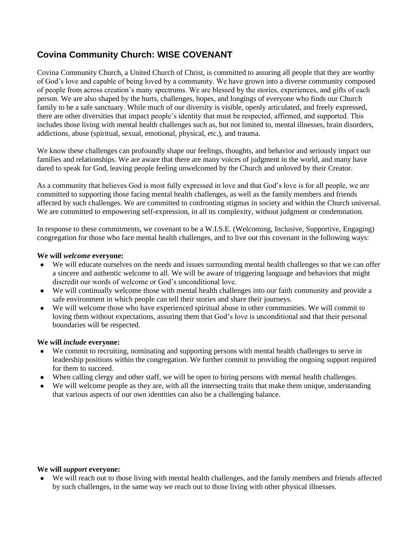# **Covina Community Church: WISE COVENANT**

Covina Community Church, a United Church of Christ, is committed to assuring all people that they are worthy of God's love and capable of being loved by a community. We have grown into a diverse community composed of people from across creation's many spectrums. We are blessed by the stories, experiences, and gifts of each person. We are also shaped by the hurts, challenges, hopes, and longings of everyone who finds our Church family to be a safe sanctuary. While much of our diversity is visible, openly articulated, and freely expressed, there are other diversities that impact people's identity that must be respected, affirmed, and supported. This includes those living with mental health challenges such as, but not limited to, mental illnesses, brain disorders, addictions, abuse (spiritual, sexual, emotional, physical, etc.), and trauma.

We know these challenges can profoundly shape our feelings, thoughts, and behavior and seriously impact our families and relationships. We are aware that there are many voices of judgment in the world, and many have dared to speak for God, leaving people feeling unwelcomed by the Church and unloved by their Creator.

As a community that believes God is most fully expressed in love and that God's love is for all people, we are committed to supporting those facing mental health challenges, as well as the family members and friends affected by such challenges. We are committed to confronting stigmas in society and within the Church universal. We are committed to empowering self-expression, in all its complexity, without judgment or condemnation.

In response to these commitments, we covenant to be a W.I.S.E. (Welcoming, Inclusive, Supportive, Engaging) congregation for those who face mental health challenges, and to live out this covenant in the following ways:

### **We will** *welcome* **everyone:**

- We will educate ourselves on the needs and issues surrounding mental health challenges so that we can offer a sincere and authentic welcome to all. We will be aware of triggering language and behaviors that might discredit our words of welcome or God's unconditional love.
- We will continually welcome those with mental health challenges into our faith community and provide a safe environment in which people can tell their stories and share their journeys.
- We will welcome those who have experienced spiritual abuse in other communities. We will commit to loving them without expectations, assuring them that God's love is unconditional and that their personal boundaries will be respected.

### **We will** *include* **everyone:**

- We commit to recruiting, nominating and supporting persons with mental health challenges to serve in leadership positions within the congregation. We further commit to providing the ongoing support required for them to succeed.
- When calling clergy and other staff, we will be open to hiring persons with mental health challenges.
- We will welcome people as they are, with all the intersecting traits that make them unique, understanding that various aspects of our own identities can also be a challenging balance.

### **We will** *support* **everyone:**

● We will reach out to those living with mental health challenges, and the family members and friends affected by such challenges, in the same way we reach out to those living with other physical illnesses.